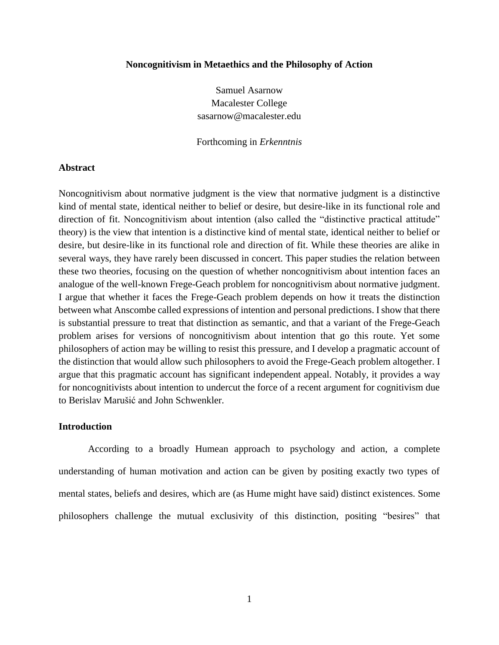## **Noncognitivism in Metaethics and the Philosophy of Action**

Samuel Asarnow Macalester College sasarnow@macalester.edu

Forthcoming in *Erkenntnis*

## **Abstract**

Noncognitivism about normative judgment is the view that normative judgment is a distinctive kind of mental state, identical neither to belief or desire, but desire-like in its functional role and direction of fit. Noncognitivism about intention (also called the "distinctive practical attitude" theory) is the view that intention is a distinctive kind of mental state, identical neither to belief or desire, but desire-like in its functional role and direction of fit. While these theories are alike in several ways, they have rarely been discussed in concert. This paper studies the relation between these two theories, focusing on the question of whether noncognitivism about intention faces an analogue of the well-known Frege-Geach problem for noncognitivism about normative judgment. I argue that whether it faces the Frege-Geach problem depends on how it treats the distinction between what Anscombe called expressions of intention and personal predictions. I show that there is substantial pressure to treat that distinction as semantic, and that a variant of the Frege-Geach problem arises for versions of noncognitivism about intention that go this route. Yet some philosophers of action may be willing to resist this pressure, and I develop a pragmatic account of the distinction that would allow such philosophers to avoid the Frege-Geach problem altogether. I argue that this pragmatic account has significant independent appeal. Notably, it provides a way for noncognitivists about intention to undercut the force of a recent argument for cognitivism due to Berislav Marušić and John Schwenkler.

# **Introduction**

According to a broadly Humean approach to psychology and action, a complete understanding of human motivation and action can be given by positing exactly two types of mental states, beliefs and desires, which are (as Hume might have said) distinct existences. Some philosophers challenge the mutual exclusivity of this distinction, positing "besires" that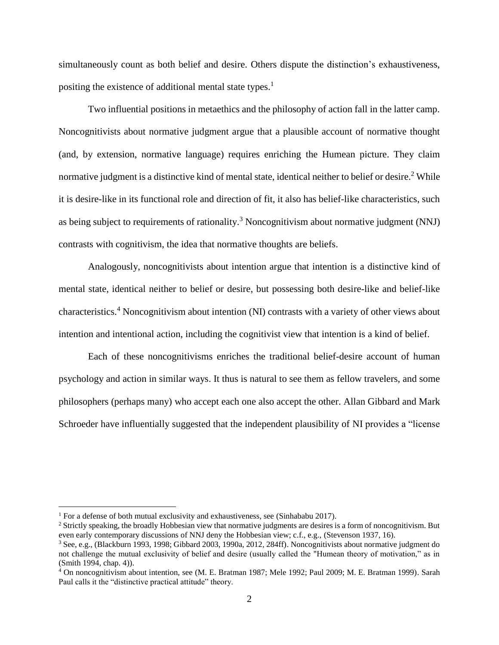simultaneously count as both belief and desire. Others dispute the distinction's exhaustiveness, positing the existence of additional mental state types.<sup>1</sup>

Two influential positions in metaethics and the philosophy of action fall in the latter camp. Noncognitivists about normative judgment argue that a plausible account of normative thought (and, by extension, normative language) requires enriching the Humean picture. They claim normative judgment is a distinctive kind of mental state, identical neither to belief or desire.<sup>2</sup> While it is desire-like in its functional role and direction of fit, it also has belief-like characteristics, such as being subject to requirements of rationality.<sup>3</sup> Noncognitivism about normative judgment (NNJ) contrasts with cognitivism, the idea that normative thoughts are beliefs.

Analogously, noncognitivists about intention argue that intention is a distinctive kind of mental state, identical neither to belief or desire, but possessing both desire-like and belief-like characteristics.<sup>4</sup> Noncognitivism about intention (NI) contrasts with a variety of other views about intention and intentional action, including the cognitivist view that intention is a kind of belief.

Each of these noncognitivisms enriches the traditional belief-desire account of human psychology and action in similar ways. It thus is natural to see them as fellow travelers, and some philosophers (perhaps many) who accept each one also accept the other. Allan Gibbard and Mark Schroeder have influentially suggested that the independent plausibility of NI provides a "license

<sup>&</sup>lt;sup>1</sup> For a defense of both mutual exclusivity and exhaustiveness, see (Sinhababu 2017).

<sup>&</sup>lt;sup>2</sup> Strictly speaking, the broadly Hobbesian view that normative judgments are desires is a form of noncognitivism. But even early contemporary discussions of NNJ deny the Hobbesian view; c.f., e.g., (Stevenson 1937, 16).

<sup>3</sup> See, e.g., (Blackburn 1993, 1998; Gibbard 2003, 1990a, 2012, 284ff). Noncognitivists about normative judgment do not challenge the mutual exclusivity of belief and desire (usually called the "Humean theory of motivation," as in (Smith 1994, chap. 4)).

<sup>4</sup> On noncognitivism about intention, see (M. E. Bratman 1987; Mele 1992; Paul 2009; M. E. Bratman 1999). Sarah Paul calls it the "distinctive practical attitude" theory.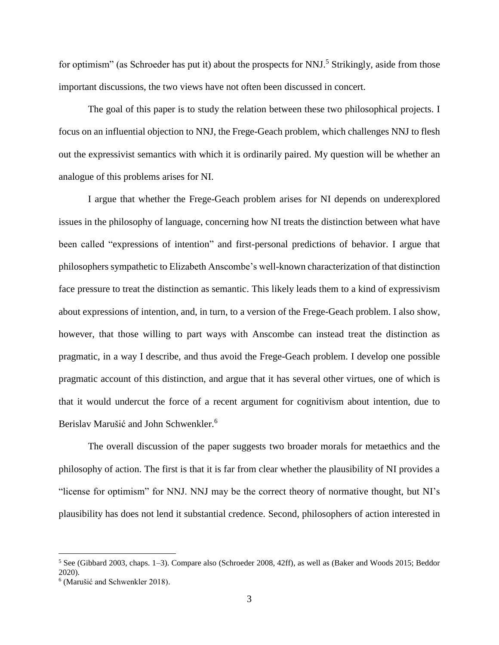for optimism" (as Schroeder has put it) about the prospects for NNJ.<sup>5</sup> Strikingly, aside from those important discussions, the two views have not often been discussed in concert.

The goal of this paper is to study the relation between these two philosophical projects. I focus on an influential objection to NNJ, the Frege-Geach problem, which challenges NNJ to flesh out the expressivist semantics with which it is ordinarily paired. My question will be whether an analogue of this problems arises for NI.

I argue that whether the Frege-Geach problem arises for NI depends on underexplored issues in the philosophy of language, concerning how NI treats the distinction between what have been called "expressions of intention" and first-personal predictions of behavior. I argue that philosophers sympathetic to Elizabeth Anscombe's well-known characterization of that distinction face pressure to treat the distinction as semantic. This likely leads them to a kind of expressivism about expressions of intention, and, in turn, to a version of the Frege-Geach problem. I also show, however, that those willing to part ways with Anscombe can instead treat the distinction as pragmatic, in a way I describe, and thus avoid the Frege-Geach problem. I develop one possible pragmatic account of this distinction, and argue that it has several other virtues, one of which is that it would undercut the force of a recent argument for cognitivism about intention, due to Berislav Marušić and John Schwenkler.<sup>6</sup>

The overall discussion of the paper suggests two broader morals for metaethics and the philosophy of action. The first is that it is far from clear whether the plausibility of NI provides a "license for optimism" for NNJ. NNJ may be the correct theory of normative thought, but NI's plausibility has does not lend it substantial credence. Second, philosophers of action interested in

<sup>5</sup> See (Gibbard 2003, chaps. 1–3). Compare also (Schroeder 2008, 42ff), as well as (Baker and Woods 2015; Beddor 2020).

<sup>6</sup> (Marušić and Schwenkler 2018).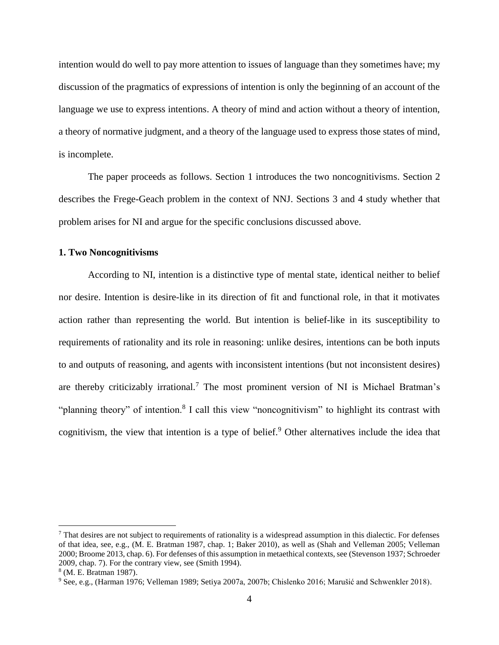intention would do well to pay more attention to issues of language than they sometimes have; my discussion of the pragmatics of expressions of intention is only the beginning of an account of the language we use to express intentions. A theory of mind and action without a theory of intention, a theory of normative judgment, and a theory of the language used to express those states of mind, is incomplete.

The paper proceeds as follows. Section 1 introduces the two noncognitivisms. Section 2 describes the Frege-Geach problem in the context of NNJ. Sections 3 and 4 study whether that problem arises for NI and argue for the specific conclusions discussed above.

# **1. Two Noncognitivisms**

According to NI, intention is a distinctive type of mental state, identical neither to belief nor desire. Intention is desire-like in its direction of fit and functional role, in that it motivates action rather than representing the world. But intention is belief-like in its susceptibility to requirements of rationality and its role in reasoning: unlike desires, intentions can be both inputs to and outputs of reasoning, and agents with inconsistent intentions (but not inconsistent desires) are thereby criticizably irrational.<sup>7</sup> The most prominent version of NI is Michael Bratman's "planning theory" of intention.<sup>8</sup> I call this view "noncognitivism" to highlight its contrast with cognitivism, the view that intention is a type of belief. <sup>9</sup> Other alternatives include the idea that

 $<sup>7</sup>$  That desires are not subject to requirements of rationality is a widespread assumption in this dialectic. For defenses</sup> of that idea, see, e.g., (M. E. Bratman 1987, chap. 1; Baker 2010), as well as (Shah and Velleman 2005; Velleman 2000; Broome 2013, chap. 6). For defenses of this assumption in metaethical contexts, see (Stevenson 1937; Schroeder 2009, chap. 7). For the contrary view, see (Smith 1994).

<sup>8</sup> (M. E. Bratman 1987).

<sup>9</sup> See, e.g., (Harman 1976; Velleman 1989; Setiya 2007a, 2007b; Chislenko 2016; Marušić and Schwenkler 2018).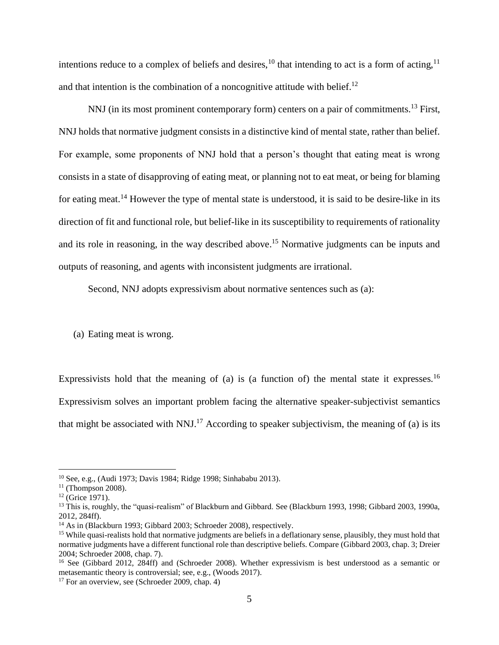intentions reduce to a complex of beliefs and desires,<sup>10</sup> that intending to act is a form of acting,<sup>11</sup> and that intention is the combination of a noncognitive attitude with belief.<sup>12</sup>

NNJ (in its most prominent contemporary form) centers on a pair of commitments.<sup>13</sup> First, NNJ holds that normative judgment consists in a distinctive kind of mental state, rather than belief. For example, some proponents of NNJ hold that a person's thought that eating meat is wrong consists in a state of disapproving of eating meat, or planning not to eat meat, or being for blaming for eating meat.<sup>14</sup> However the type of mental state is understood, it is said to be desire-like in its direction of fit and functional role, but belief-like in its susceptibility to requirements of rationality and its role in reasoning, in the way described above.<sup>15</sup> Normative judgments can be inputs and outputs of reasoning, and agents with inconsistent judgments are irrational.

Second, NNJ adopts expressivism about normative sentences such as (a):

(a) Eating meat is wrong.

Expressivists hold that the meaning of (a) is (a function of) the mental state it expresses.<sup>16</sup> Expressivism solves an important problem facing the alternative speaker-subjectivist semantics that might be associated with NNJ.<sup>17</sup> According to speaker subjectivism, the meaning of (a) is its

<sup>10</sup> See, e.g., (Audi 1973; Davis 1984; Ridge 1998; Sinhababu 2013).

 $11$  (Thompson 2008).

 $12$  (Grice 1971).

<sup>&</sup>lt;sup>13</sup> This is, roughly, the "quasi-realism" of Blackburn and Gibbard. See (Blackburn 1993, 1998; Gibbard 2003, 1990a, 2012, 284ff).

<sup>&</sup>lt;sup>14</sup> As in (Blackburn 1993; Gibbard 2003; Schroeder 2008), respectively.

<sup>&</sup>lt;sup>15</sup> While quasi-realists hold that normative judgments are beliefs in a deflationary sense, plausibly, they must hold that normative judgments have a different functional role than descriptive beliefs. Compare (Gibbard 2003, chap. 3; Dreier 2004; Schroeder 2008, chap. 7).

<sup>&</sup>lt;sup>16</sup> See (Gibbard 2012, 284ff) and (Schroeder 2008). Whether expressivism is best understood as a semantic or metasemantic theory is controversial; see, e.g., (Woods 2017).

<sup>&</sup>lt;sup>17</sup> For an overview, see (Schroeder 2009, chap. 4)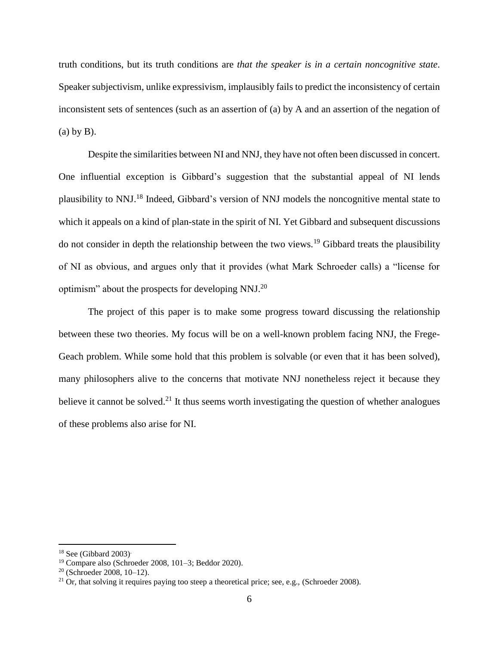truth conditions, but its truth conditions are *that the speaker is in a certain noncognitive state*. Speaker subjectivism, unlike expressivism, implausibly fails to predict the inconsistency of certain inconsistent sets of sentences (such as an assertion of (a) by A and an assertion of the negation of (a) by B).

Despite the similarities between NI and NNJ, they have not often been discussed in concert. One influential exception is Gibbard's suggestion that the substantial appeal of NI lends plausibility to NNJ.<sup>18</sup> Indeed, Gibbard's version of NNJ models the noncognitive mental state to which it appeals on a kind of plan-state in the spirit of NI. Yet Gibbard and subsequent discussions do not consider in depth the relationship between the two views.<sup>19</sup> Gibbard treats the plausibility of NI as obvious, and argues only that it provides (what Mark Schroeder calls) a "license for optimism" about the prospects for developing NNJ.<sup>20</sup>

The project of this paper is to make some progress toward discussing the relationship between these two theories. My focus will be on a well-known problem facing NNJ, the Frege-Geach problem. While some hold that this problem is solvable (or even that it has been solved), many philosophers alive to the concerns that motivate NNJ nonetheless reject it because they believe it cannot be solved.<sup>21</sup> It thus seems worth investigating the question of whether analogues of these problems also arise for NI.

<sup>&</sup>lt;sup>18</sup> See (Gibbard 2003)<sup>.</sup>

<sup>19</sup> Compare also (Schroeder 2008, 101–3; Beddor 2020).

<sup>20</sup> (Schroeder 2008, 10–12).

<sup>&</sup>lt;sup>21</sup> Or, that solving it requires paying too steep a theoretical price; see, e.g., (Schroeder 2008).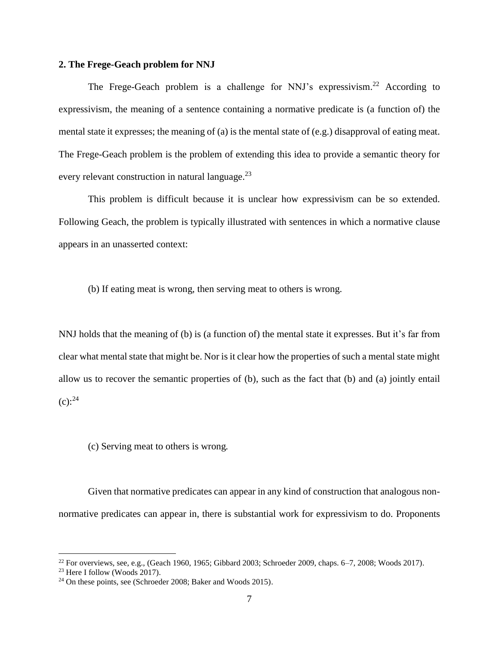#### **2. The Frege-Geach problem for NNJ**

The Frege-Geach problem is a challenge for NNJ's expressivism.<sup>22</sup> According to expressivism, the meaning of a sentence containing a normative predicate is (a function of) the mental state it expresses; the meaning of (a) is the mental state of (e.g.) disapproval of eating meat. The Frege-Geach problem is the problem of extending this idea to provide a semantic theory for every relevant construction in natural language.<sup>23</sup>

This problem is difficult because it is unclear how expressivism can be so extended. Following Geach, the problem is typically illustrated with sentences in which a normative clause appears in an unasserted context:

(b) If eating meat is wrong, then serving meat to others is wrong.

NNJ holds that the meaning of (b) is (a function of) the mental state it expresses. But it's far from clear what mental state that might be. Nor is it clear how the properties of such a mental state might allow us to recover the semantic properties of (b), such as the fact that (b) and (a) jointly entail  $(c)$ :<sup>24</sup>

(c) Serving meat to others is wrong*.*

Given that normative predicates can appear in any kind of construction that analogous nonnormative predicates can appear in, there is substantial work for expressivism to do. Proponents

<sup>&</sup>lt;sup>22</sup> For overviews, see, e.g., (Geach 1960, 1965; Gibbard 2003; Schroeder 2009, chaps.  $6-7$ , 2008; Woods 2017).

<sup>23</sup> Here I follow (Woods 2017).

<sup>24</sup> On these points, see (Schroeder 2008; Baker and Woods 2015).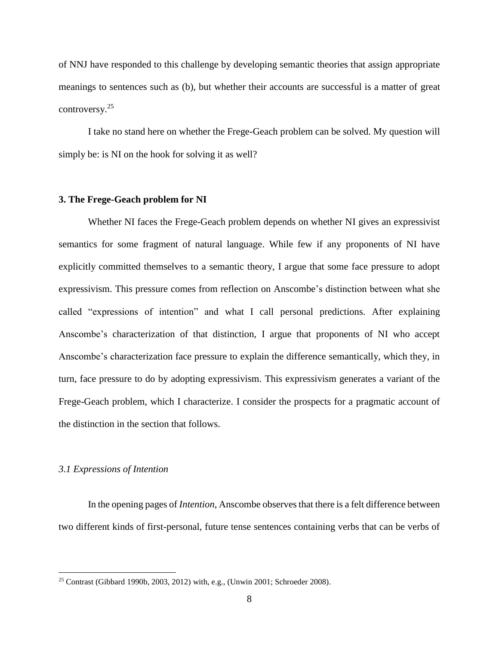of NNJ have responded to this challenge by developing semantic theories that assign appropriate meanings to sentences such as (b), but whether their accounts are successful is a matter of great controversy.<sup>25</sup>

I take no stand here on whether the Frege-Geach problem can be solved. My question will simply be: is NI on the hook for solving it as well?

### **3. The Frege-Geach problem for NI**

Whether NI faces the Frege-Geach problem depends on whether NI gives an expressivist semantics for some fragment of natural language. While few if any proponents of NI have explicitly committed themselves to a semantic theory, I argue that some face pressure to adopt expressivism. This pressure comes from reflection on Anscombe's distinction between what she called "expressions of intention" and what I call personal predictions. After explaining Anscombe's characterization of that distinction, I argue that proponents of NI who accept Anscombe's characterization face pressure to explain the difference semantically, which they, in turn, face pressure to do by adopting expressivism. This expressivism generates a variant of the Frege-Geach problem, which I characterize. I consider the prospects for a pragmatic account of the distinction in the section that follows.

## *3.1 Expressions of Intention*

 $\overline{a}$ 

In the opening pages of *Intention*, Anscombe observes that there is a felt difference between two different kinds of first-personal, future tense sentences containing verbs that can be verbs of

<sup>25</sup> Contrast (Gibbard 1990b, 2003, 2012) with, e.g., (Unwin 2001; Schroeder 2008).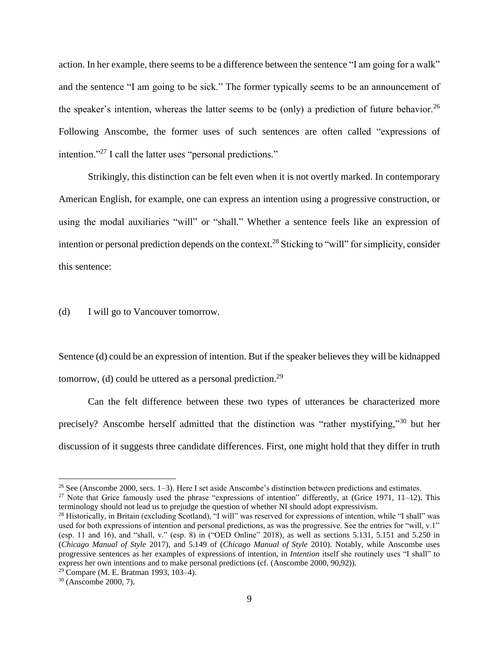action. In her example, there seems to be a difference between the sentence "I am going for a walk" and the sentence "I am going to be sick." The former typically seems to be an announcement of the speaker's intention, whereas the latter seems to be (only) a prediction of future behavior.<sup>26</sup> Following Anscombe, the former uses of such sentences are often called "expressions of intention."<sup>27</sup> I call the latter uses "personal predictions."

Strikingly, this distinction can be felt even when it is not overtly marked. In contemporary American English, for example, one can express an intention using a progressive construction, or using the modal auxiliaries "will" or "shall." Whether a sentence feels like an expression of intention or personal prediction depends on the context.<sup>28</sup> Sticking to "will" for simplicity, consider this sentence:

(d) I will go to Vancouver tomorrow.

Sentence (d) could be an expression of intention. But if the speaker believes they will be kidnapped tomorrow, (d) could be uttered as a personal prediction.<sup>29</sup>

Can the felt difference between these two types of utterances be characterized more precisely? Anscombe herself admitted that the distinction was "rather mystifying,"<sup>30</sup> but her discussion of it suggests three candidate differences. First, one might hold that they differ in truth

<sup>&</sup>lt;sup>26</sup> See (Anscombe 2000, secs.  $1-3$ ). Here I set aside Anscombe's distinction between predictions and estimates.

<sup>&</sup>lt;sup>27</sup> Note that Grice famously used the phrase "expressions of intention" differently, at (Grice 1971, 11–12). This terminology should not lead us to prejudge the question of whether NI should adopt expressivism.

<sup>&</sup>lt;sup>28</sup> Historically, in Britain (excluding Scotland), "I will" was reserved for expressions of intention, while "I shall" was used for both expressions of intention and personal predictions, as was the progressive. See the entries for "will, v.1" (esp. 11 and 16), and "shall, v." (esp. 8) in ("OED Online" 2018), as well as sections 5.131, 5.151 and 5.250 in (*Chicago Manual of Style* 2017), and 5.149 of (*Chicago Manual of Style* 2010). Notably, while Anscombe uses progressive sentences as her examples of expressions of intention, in *Intention* itself she routinely uses "I shall" to express her own intentions and to make personal predictions (cf. (Anscombe 2000, 90,92)).

<sup>29</sup> Compare (M. E. Bratman 1993, 103–4).

<sup>30</sup> (Anscombe 2000, 7).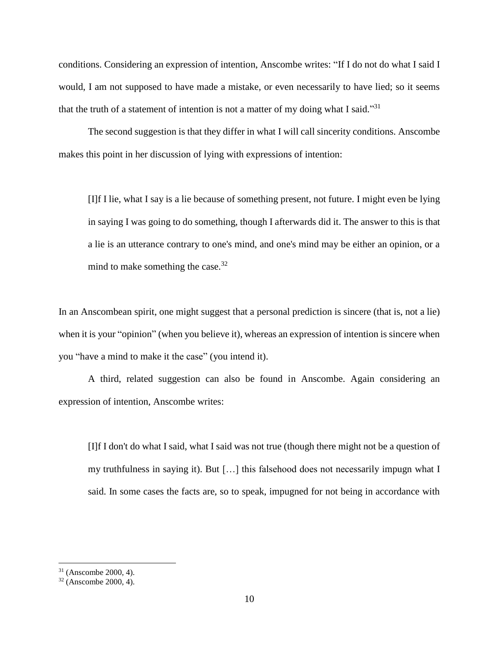conditions. Considering an expression of intention, Anscombe writes: "If I do not do what I said I would, I am not supposed to have made a mistake, or even necessarily to have lied; so it seems that the truth of a statement of intention is not a matter of my doing what I said."31

The second suggestion is that they differ in what I will call sincerity conditions. Anscombe makes this point in her discussion of lying with expressions of intention:

[I]f I lie, what I say is a lie because of something present, not future. I might even be lying in saying I was going to do something, though I afterwards did it. The answer to this is that a lie is an utterance contrary to one's mind, and one's mind may be either an opinion, or a mind to make something the case. $32$ 

In an Anscombean spirit, one might suggest that a personal prediction is sincere (that is, not a lie) when it is your "opinion" (when you believe it), whereas an expression of intention is sincere when you "have a mind to make it the case" (you intend it).

A third, related suggestion can also be found in Anscombe. Again considering an expression of intention, Anscombe writes:

[I]f I don't do what I said, what I said was not true (though there might not be a question of my truthfulness in saying it). But […] this falsehood does not necessarily impugn what I said. In some cases the facts are, so to speak, impugned for not being in accordance with

 $31$  (Anscombe 2000, 4).

<sup>32</sup> (Anscombe 2000, 4).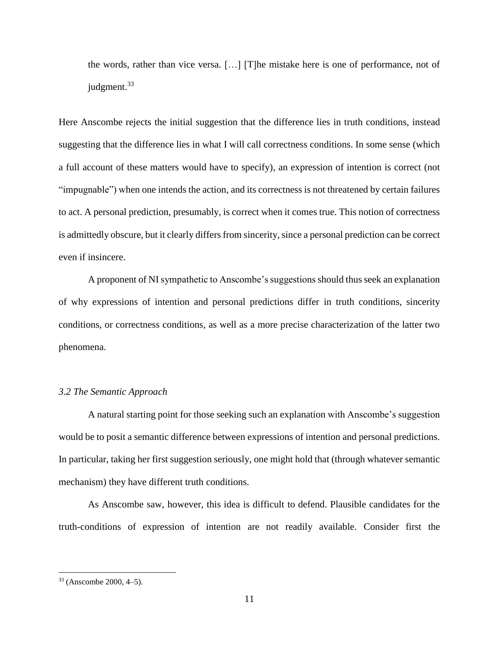the words, rather than vice versa. […] [T]he mistake here is one of performance, not of judgment.<sup>33</sup>

Here Anscombe rejects the initial suggestion that the difference lies in truth conditions, instead suggesting that the difference lies in what I will call correctness conditions. In some sense (which a full account of these matters would have to specify), an expression of intention is correct (not "impugnable") when one intends the action, and its correctness is not threatened by certain failures to act. A personal prediction, presumably, is correct when it comes true. This notion of correctness is admittedly obscure, but it clearly differs from sincerity, since a personal prediction can be correct even if insincere.

A proponent of NIsympathetic to Anscombe's suggestions should thus seek an explanation of why expressions of intention and personal predictions differ in truth conditions, sincerity conditions, or correctness conditions, as well as a more precise characterization of the latter two phenomena.

## *3.2 The Semantic Approach*

A natural starting point for those seeking such an explanation with Anscombe's suggestion would be to posit a semantic difference between expressions of intention and personal predictions. In particular, taking her first suggestion seriously, one might hold that (through whatever semantic mechanism) they have different truth conditions.

As Anscombe saw, however, this idea is difficult to defend. Plausible candidates for the truth-conditions of expression of intention are not readily available. Consider first the

<sup>33</sup> (Anscombe 2000, 4–5).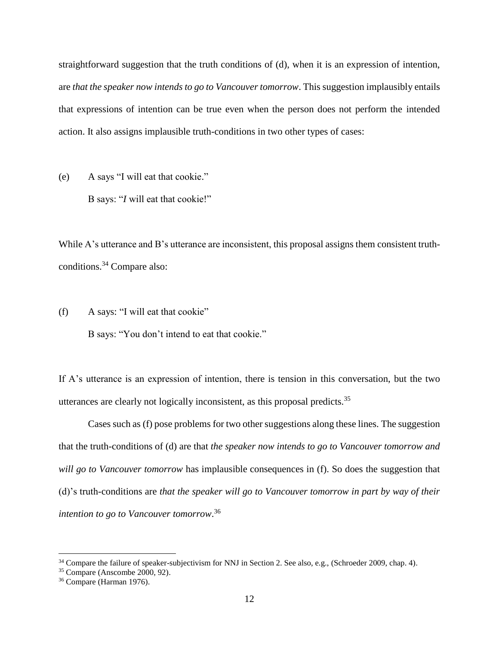straightforward suggestion that the truth conditions of (d), when it is an expression of intention, are *that the speaker now intends to go to Vancouver tomorrow*. This suggestion implausibly entails that expressions of intention can be true even when the person does not perform the intended action. It also assigns implausible truth-conditions in two other types of cases:

(e) A says "I will eat that cookie." B says: "*I* will eat that cookie!"

While A's utterance and B's utterance are inconsistent, this proposal assigns them consistent truthconditions.<sup>34</sup> Compare also:

(f) A says: "I will eat that cookie" B says: "You don't intend to eat that cookie."

If A's utterance is an expression of intention, there is tension in this conversation, but the two utterances are clearly not logically inconsistent, as this proposal predicts.<sup>35</sup>

Cases such as (f) pose problems for two other suggestions along these lines. The suggestion that the truth-conditions of (d) are that *the speaker now intends to go to Vancouver tomorrow and will go to Vancouver tomorrow* has implausible consequences in (f). So does the suggestion that (d)'s truth-conditions are *that the speaker will go to Vancouver tomorrow in part by way of their intention to go to Vancouver tomorrow*. 36

<sup>&</sup>lt;sup>34</sup> Compare the failure of speaker-subjectivism for NNJ in Section 2. See also, e.g., (Schroeder 2009, chap. 4).

<sup>35</sup> Compare (Anscombe 2000, 92).

<sup>36</sup> Compare (Harman 1976).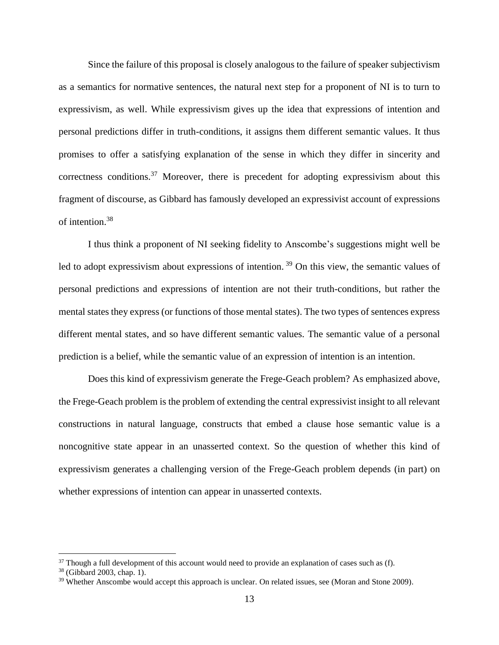Since the failure of this proposal is closely analogous to the failure of speaker subjectivism as a semantics for normative sentences, the natural next step for a proponent of NI is to turn to expressivism, as well. While expressivism gives up the idea that expressions of intention and personal predictions differ in truth-conditions, it assigns them different semantic values. It thus promises to offer a satisfying explanation of the sense in which they differ in sincerity and correctness conditions.<sup>37</sup> Moreover, there is precedent for adopting expressivism about this fragment of discourse, as Gibbard has famously developed an expressivist account of expressions of intention.<sup>38</sup>

I thus think a proponent of NI seeking fidelity to Anscombe's suggestions might well be led to adopt expressivism about expressions of intention.<sup>39</sup> On this view, the semantic values of personal predictions and expressions of intention are not their truth-conditions, but rather the mental states they express (or functions of those mental states). The two types of sentences express different mental states, and so have different semantic values. The semantic value of a personal prediction is a belief, while the semantic value of an expression of intention is an intention.

Does this kind of expressivism generate the Frege-Geach problem? As emphasized above, the Frege-Geach problem is the problem of extending the central expressivist insight to all relevant constructions in natural language, constructs that embed a clause hose semantic value is a noncognitive state appear in an unasserted context. So the question of whether this kind of expressivism generates a challenging version of the Frege-Geach problem depends (in part) on whether expressions of intention can appear in unasserted contexts.

 $37$  Though a full development of this account would need to provide an explanation of cases such as (f).

<sup>38</sup> (Gibbard 2003, chap. 1).

<sup>&</sup>lt;sup>39</sup> Whether Anscombe would accept this approach is unclear. On related issues, see (Moran and Stone 2009).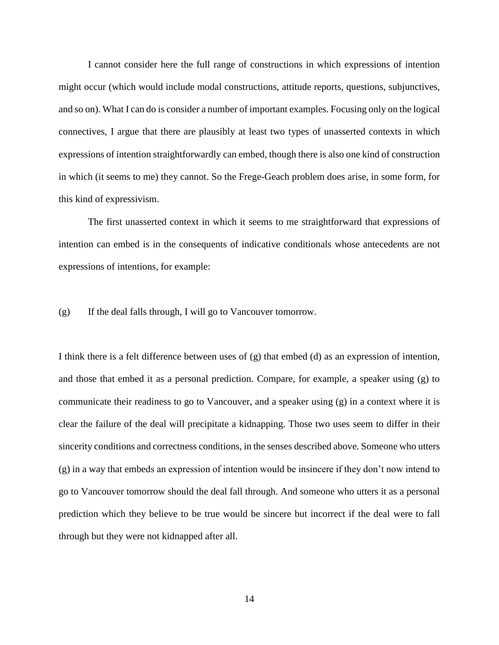I cannot consider here the full range of constructions in which expressions of intention might occur (which would include modal constructions, attitude reports, questions, subjunctives, and so on). What I can do is consider a number of important examples. Focusing only on the logical connectives, I argue that there are plausibly at least two types of unasserted contexts in which expressions of intention straightforwardly can embed, though there is also one kind of construction in which (it seems to me) they cannot. So the Frege-Geach problem does arise, in some form, for this kind of expressivism.

The first unasserted context in which it seems to me straightforward that expressions of intention can embed is in the consequents of indicative conditionals whose antecedents are not expressions of intentions, for example:

#### $(g)$  If the deal falls through, I will go to Vancouver tomorrow.

I think there is a felt difference between uses of (g) that embed (d) as an expression of intention, and those that embed it as a personal prediction. Compare, for example, a speaker using (g) to communicate their readiness to go to Vancouver, and a speaker using (g) in a context where it is clear the failure of the deal will precipitate a kidnapping. Those two uses seem to differ in their sincerity conditions and correctness conditions, in the senses described above. Someone who utters (g) in a way that embeds an expression of intention would be insincere if they don't now intend to go to Vancouver tomorrow should the deal fall through. And someone who utters it as a personal prediction which they believe to be true would be sincere but incorrect if the deal were to fall through but they were not kidnapped after all.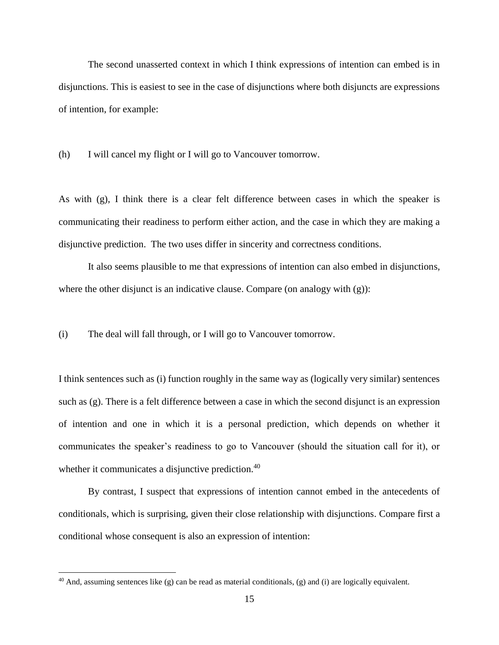The second unasserted context in which I think expressions of intention can embed is in disjunctions. This is easiest to see in the case of disjunctions where both disjuncts are expressions of intention, for example:

(h) I will cancel my flight or I will go to Vancouver tomorrow.

As with (g), I think there is a clear felt difference between cases in which the speaker is communicating their readiness to perform either action, and the case in which they are making a disjunctive prediction. The two uses differ in sincerity and correctness conditions.

It also seems plausible to me that expressions of intention can also embed in disjunctions, where the other disjunct is an indicative clause. Compare (on analogy with (g)):

(i) The deal will fall through, or I will go to Vancouver tomorrow.

I think sentences such as (i) function roughly in the same way as (logically very similar) sentences such as (g). There is a felt difference between a case in which the second disjunct is an expression of intention and one in which it is a personal prediction, which depends on whether it communicates the speaker's readiness to go to Vancouver (should the situation call for it), or whether it communicates a disjunctive prediction.<sup>40</sup>

By contrast, I suspect that expressions of intention cannot embed in the antecedents of conditionals, which is surprising, given their close relationship with disjunctions. Compare first a conditional whose consequent is also an expression of intention:

 $40$  And, assuming sentences like (g) can be read as material conditionals, (g) and (i) are logically equivalent.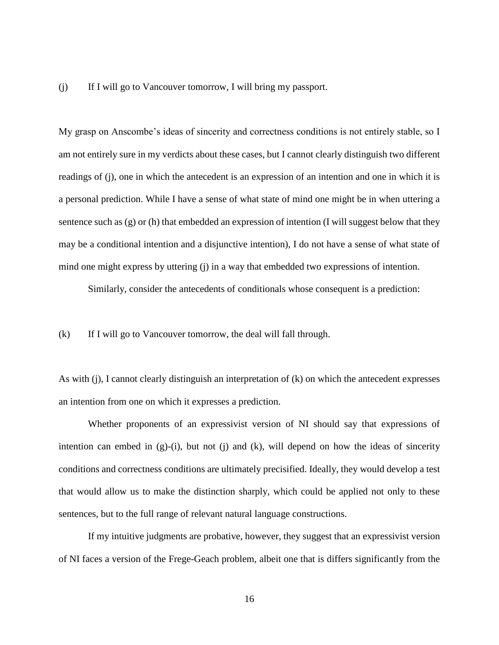(j) If I will go to Vancouver tomorrow, I will bring my passport.

My grasp on Anscombe's ideas of sincerity and correctness conditions is not entirely stable, so I am not entirely sure in my verdicts about these cases, but I cannot clearly distinguish two different readings of (j), one in which the antecedent is an expression of an intention and one in which it is a personal prediction. While I have a sense of what state of mind one might be in when uttering a sentence such as  $(g)$  or (h) that embedded an expression of intention (I will suggest below that they may be a conditional intention and a disjunctive intention), I do not have a sense of what state of mind one might express by uttering (j) in a way that embedded two expressions of intention.

Similarly, consider the antecedents of conditionals whose consequent is a prediction:

(k) If I will go to Vancouver tomorrow, the deal will fall through.

As with (j), I cannot clearly distinguish an interpretation of (k) on which the antecedent expresses an intention from one on which it expresses a prediction.

Whether proponents of an expressivist version of NI should say that expressions of intention can embed in  $(g)$ -(i), but not (j) and (k), will depend on how the ideas of sincerity conditions and correctness conditions are ultimately precisified. Ideally, they would develop a test that would allow us to make the distinction sharply, which could be applied not only to these sentences, but to the full range of relevant natural language constructions.

If my intuitive judgments are probative, however, they suggest that an expressivist version of NI faces a version of the Frege-Geach problem, albeit one that is differs significantly from the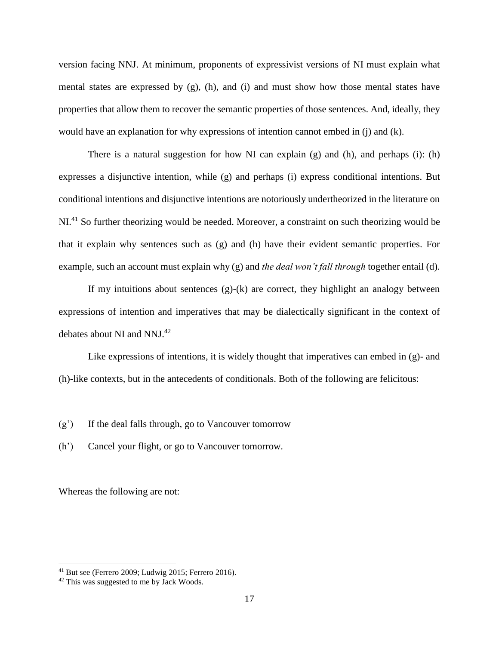version facing NNJ. At minimum, proponents of expressivist versions of NI must explain what mental states are expressed by (g), (h), and (i) and must show how those mental states have properties that allow them to recover the semantic properties of those sentences. And, ideally, they would have an explanation for why expressions of intention cannot embed in (j) and (k).

There is a natural suggestion for how NI can explain  $(g)$  and  $(h)$ , and perhaps  $(i)$ :  $(h)$ expresses a disjunctive intention, while (g) and perhaps (i) express conditional intentions. But conditional intentions and disjunctive intentions are notoriously undertheorized in the literature on NI.<sup>41</sup> So further theorizing would be needed. Moreover, a constraint on such theorizing would be that it explain why sentences such as (g) and (h) have their evident semantic properties. For example, such an account must explain why (g) and *the deal won't fall through* together entail (d).

If my intuitions about sentences  $(g)-(k)$  are correct, they highlight an analogy between expressions of intention and imperatives that may be dialectically significant in the context of debates about NI and NNJ.<sup>42</sup>

Like expressions of intentions, it is widely thought that imperatives can embed in (g)- and (h)-like contexts, but in the antecedents of conditionals. Both of the following are felicitous:

- $(g')$  If the deal falls through, go to Vancouver tomorrow
- (h') Cancel your flight, or go to Vancouver tomorrow.

Whereas the following are not:

<sup>41</sup> But see (Ferrero 2009; Ludwig 2015; Ferrero 2016).

<sup>&</sup>lt;sup>42</sup> This was suggested to me by Jack Woods.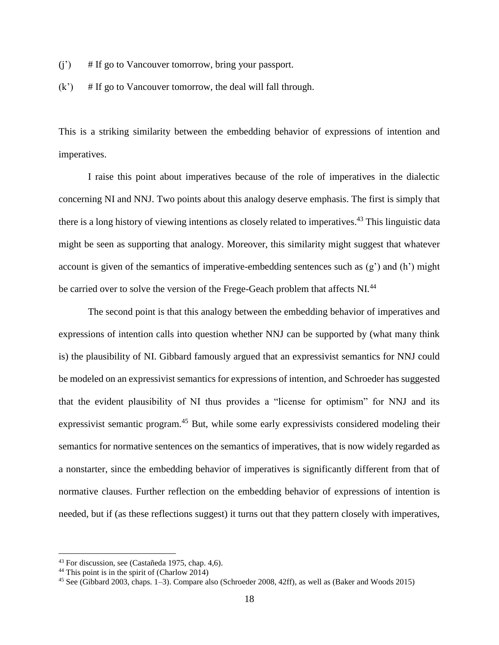(j') # If go to Vancouver tomorrow, bring your passport.

 $(k')$  # If go to Vancouver tomorrow, the deal will fall through.

This is a striking similarity between the embedding behavior of expressions of intention and imperatives.

I raise this point about imperatives because of the role of imperatives in the dialectic concerning NI and NNJ. Two points about this analogy deserve emphasis. The first is simply that there is a long history of viewing intentions as closely related to imperatives. <sup>43</sup> This linguistic data might be seen as supporting that analogy. Moreover, this similarity might suggest that whatever account is given of the semantics of imperative-embedding sentences such as  $(g')$  and  $(h')$  might be carried over to solve the version of the Frege-Geach problem that affects NI.<sup>44</sup>

The second point is that this analogy between the embedding behavior of imperatives and expressions of intention calls into question whether NNJ can be supported by (what many think is) the plausibility of NI. Gibbard famously argued that an expressivist semantics for NNJ could be modeled on an expressivist semantics for expressions of intention, and Schroeder has suggested that the evident plausibility of NI thus provides a "license for optimism" for NNJ and its expressivist semantic program.<sup>45</sup> But, while some early expressivists considered modeling their semantics for normative sentences on the semantics of imperatives, that is now widely regarded as a nonstarter, since the embedding behavior of imperatives is significantly different from that of normative clauses. Further reflection on the embedding behavior of expressions of intention is needed, but if (as these reflections suggest) it turns out that they pattern closely with imperatives,

<sup>43</sup> For discussion, see (Castañeda 1975, chap. 4,6).

<sup>44</sup> This point is in the spirit of (Charlow 2014)

<sup>45</sup> See (Gibbard 2003, chaps. 1–3). Compare also (Schroeder 2008, 42ff), as well as (Baker and Woods 2015)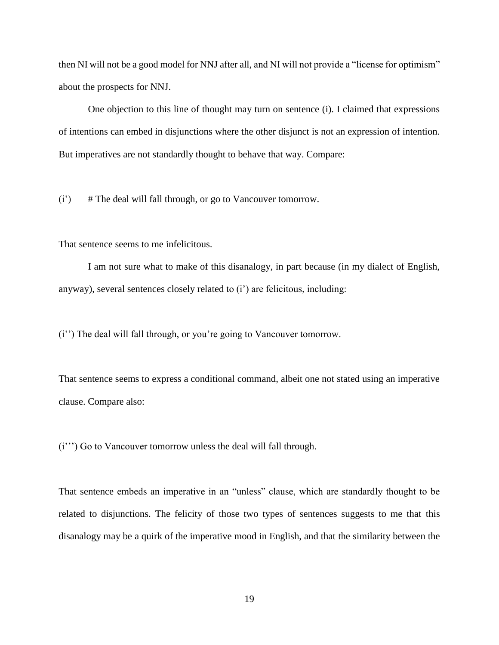then NI will not be a good model for NNJ after all, and NI will not provide a "license for optimism" about the prospects for NNJ.

One objection to this line of thought may turn on sentence (i). I claimed that expressions of intentions can embed in disjunctions where the other disjunct is not an expression of intention. But imperatives are not standardly thought to behave that way. Compare:

(i') # The deal will fall through, or go to Vancouver tomorrow.

That sentence seems to me infelicitous.

I am not sure what to make of this disanalogy, in part because (in my dialect of English, anyway), several sentences closely related to (i') are felicitous, including:

(i'') The deal will fall through, or you're going to Vancouver tomorrow.

That sentence seems to express a conditional command, albeit one not stated using an imperative clause. Compare also:

(i''') Go to Vancouver tomorrow unless the deal will fall through.

That sentence embeds an imperative in an "unless" clause, which are standardly thought to be related to disjunctions. The felicity of those two types of sentences suggests to me that this disanalogy may be a quirk of the imperative mood in English, and that the similarity between the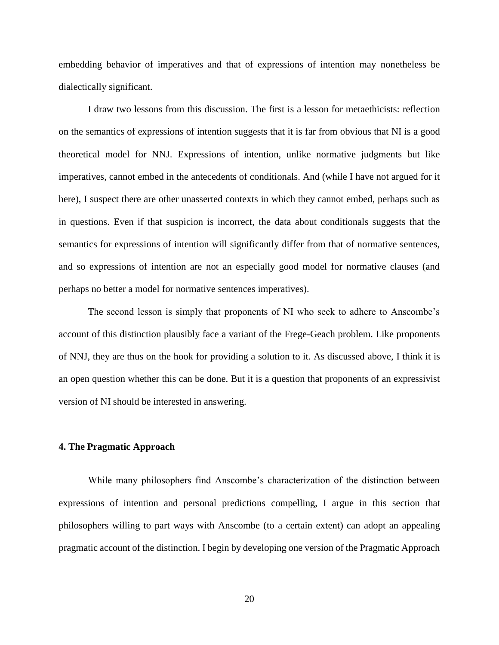embedding behavior of imperatives and that of expressions of intention may nonetheless be dialectically significant.

I draw two lessons from this discussion. The first is a lesson for metaethicists: reflection on the semantics of expressions of intention suggests that it is far from obvious that NI is a good theoretical model for NNJ. Expressions of intention, unlike normative judgments but like imperatives, cannot embed in the antecedents of conditionals. And (while I have not argued for it here), I suspect there are other unasserted contexts in which they cannot embed, perhaps such as in questions. Even if that suspicion is incorrect, the data about conditionals suggests that the semantics for expressions of intention will significantly differ from that of normative sentences, and so expressions of intention are not an especially good model for normative clauses (and perhaps no better a model for normative sentences imperatives).

The second lesson is simply that proponents of NI who seek to adhere to Anscombe's account of this distinction plausibly face a variant of the Frege-Geach problem. Like proponents of NNJ, they are thus on the hook for providing a solution to it. As discussed above, I think it is an open question whether this can be done. But it is a question that proponents of an expressivist version of NI should be interested in answering.

### **4. The Pragmatic Approach**

While many philosophers find Anscombe's characterization of the distinction between expressions of intention and personal predictions compelling, I argue in this section that philosophers willing to part ways with Anscombe (to a certain extent) can adopt an appealing pragmatic account of the distinction. I begin by developing one version of the Pragmatic Approach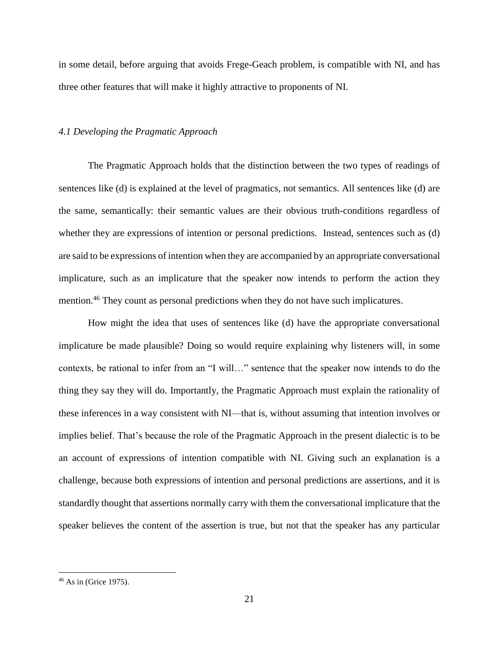in some detail, before arguing that avoids Frege-Geach problem, is compatible with NI, and has three other features that will make it highly attractive to proponents of NI.

## *4.1 Developing the Pragmatic Approach*

The Pragmatic Approach holds that the distinction between the two types of readings of sentences like (d) is explained at the level of pragmatics, not semantics. All sentences like (d) are the same, semantically: their semantic values are their obvious truth-conditions regardless of whether they are expressions of intention or personal predictions. Instead, sentences such as (d) are said to be expressions of intention when they are accompanied by an appropriate conversational implicature, such as an implicature that the speaker now intends to perform the action they mention.<sup>46</sup> They count as personal predictions when they do not have such implicatures.

How might the idea that uses of sentences like (d) have the appropriate conversational implicature be made plausible? Doing so would require explaining why listeners will, in some contexts, be rational to infer from an "I will…" sentence that the speaker now intends to do the thing they say they will do. Importantly, the Pragmatic Approach must explain the rationality of these inferences in a way consistent with NI—that is, without assuming that intention involves or implies belief. That's because the role of the Pragmatic Approach in the present dialectic is to be an account of expressions of intention compatible with NI. Giving such an explanation is a challenge, because both expressions of intention and personal predictions are assertions, and it is standardly thought that assertions normally carry with them the conversational implicature that the speaker believes the content of the assertion is true, but not that the speaker has any particular

 $46$  As in (Grice 1975).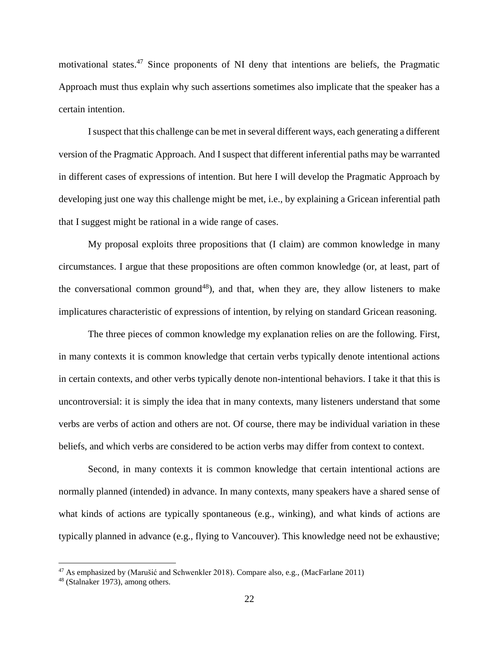motivational states.<sup>47</sup> Since proponents of NI deny that intentions are beliefs, the Pragmatic Approach must thus explain why such assertions sometimes also implicate that the speaker has a certain intention.

I suspect that this challenge can be met in several different ways, each generating a different version of the Pragmatic Approach. And I suspect that different inferential paths may be warranted in different cases of expressions of intention. But here I will develop the Pragmatic Approach by developing just one way this challenge might be met, i.e., by explaining a Gricean inferential path that I suggest might be rational in a wide range of cases.

My proposal exploits three propositions that (I claim) are common knowledge in many circumstances. I argue that these propositions are often common knowledge (or, at least, part of the conversational common ground<sup>48</sup>), and that, when they are, they allow listeners to make implicatures characteristic of expressions of intention, by relying on standard Gricean reasoning.

The three pieces of common knowledge my explanation relies on are the following. First, in many contexts it is common knowledge that certain verbs typically denote intentional actions in certain contexts, and other verbs typically denote non-intentional behaviors. I take it that this is uncontroversial: it is simply the idea that in many contexts, many listeners understand that some verbs are verbs of action and others are not. Of course, there may be individual variation in these beliefs, and which verbs are considered to be action verbs may differ from context to context.

Second, in many contexts it is common knowledge that certain intentional actions are normally planned (intended) in advance. In many contexts, many speakers have a shared sense of what kinds of actions are typically spontaneous (e.g., winking), and what kinds of actions are typically planned in advance (e.g., flying to Vancouver). This knowledge need not be exhaustive;

<sup>47</sup> As emphasized by (Marušić and Schwenkler 2018). Compare also, e.g., (MacFarlane 2011)

<sup>48</sup> (Stalnaker 1973), among others.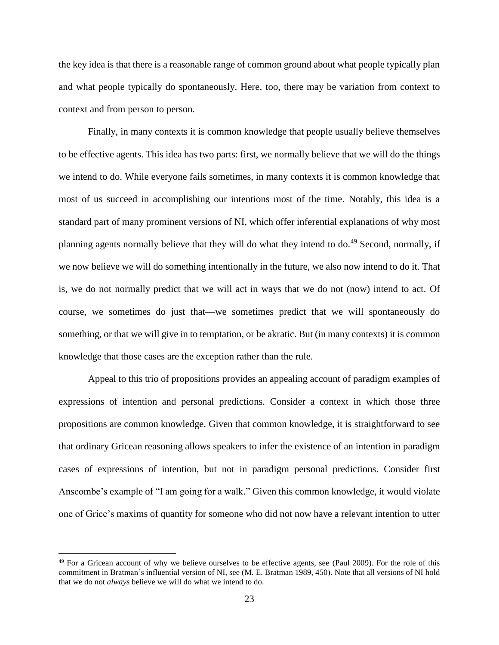the key idea is that there is a reasonable range of common ground about what people typically plan and what people typically do spontaneously. Here, too, there may be variation from context to context and from person to person.

Finally, in many contexts it is common knowledge that people usually believe themselves to be effective agents. This idea has two parts: first, we normally believe that we will do the things we intend to do. While everyone fails sometimes, in many contexts it is common knowledge that most of us succeed in accomplishing our intentions most of the time. Notably, this idea is a standard part of many prominent versions of NI, which offer inferential explanations of why most planning agents normally believe that they will do what they intend to do.<sup>49</sup> Second, normally, if we now believe we will do something intentionally in the future, we also now intend to do it. That is, we do not normally predict that we will act in ways that we do not (now) intend to act. Of course, we sometimes do just that—we sometimes predict that we will spontaneously do something, or that we will give in to temptation, or be akratic. But (in many contexts) it is common knowledge that those cases are the exception rather than the rule.

Appeal to this trio of propositions provides an appealing account of paradigm examples of expressions of intention and personal predictions. Consider a context in which those three propositions are common knowledge. Given that common knowledge, it is straightforward to see that ordinary Gricean reasoning allows speakers to infer the existence of an intention in paradigm cases of expressions of intention, but not in paradigm personal predictions. Consider first Anscombe's example of "I am going for a walk." Given this common knowledge, it would violate one of Grice's maxims of quantity for someone who did not now have a relevant intention to utter

<sup>&</sup>lt;sup>49</sup> For a Gricean account of why we believe ourselves to be effective agents, see (Paul 2009). For the role of this commitment in Bratman's influential version of NI, see (M. E. Bratman 1989, 450). Note that all versions of NI hold that we do not *always* believe we will do what we intend to do.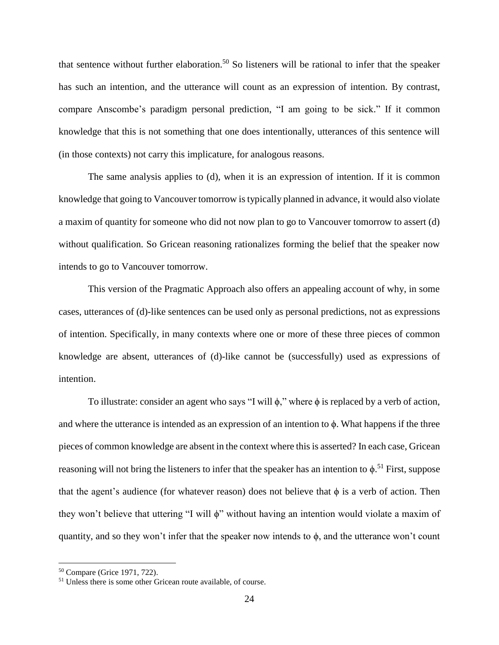that sentence without further elaboration. <sup>50</sup> So listeners will be rational to infer that the speaker has such an intention, and the utterance will count as an expression of intention. By contrast, compare Anscombe's paradigm personal prediction, "I am going to be sick." If it common knowledge that this is not something that one does intentionally, utterances of this sentence will (in those contexts) not carry this implicature, for analogous reasons.

The same analysis applies to (d), when it is an expression of intention. If it is common knowledge that going to Vancouver tomorrow is typically planned in advance, it would also violate a maxim of quantity for someone who did not now plan to go to Vancouver tomorrow to assert (d) without qualification. So Gricean reasoning rationalizes forming the belief that the speaker now intends to go to Vancouver tomorrow.

This version of the Pragmatic Approach also offers an appealing account of why, in some cases, utterances of (d)-like sentences can be used only as personal predictions, not as expressions of intention. Specifically, in many contexts where one or more of these three pieces of common knowledge are absent, utterances of (d)-like cannot be (successfully) used as expressions of intention.

To illustrate: consider an agent who says "I will  $\phi$ ," where  $\phi$  is replaced by a verb of action, and where the utterance is intended as an expression of an intention to  $\phi$ . What happens if the three pieces of common knowledge are absent in the context where this is asserted? In each case, Gricean reasoning will not bring the listeners to infer that the speaker has an intention to  $\phi$ .<sup>51</sup> First, suppose that the agent's audience (for whatever reason) does not believe that  $\phi$  is a verb of action. Then they won't believe that uttering "I will ϕ" without having an intention would violate a maxim of quantity, and so they won't infer that the speaker now intends to  $\phi$ , and the utterance won't count

<sup>50</sup> Compare (Grice 1971, 722).

<sup>51</sup> Unless there is some other Gricean route available, of course.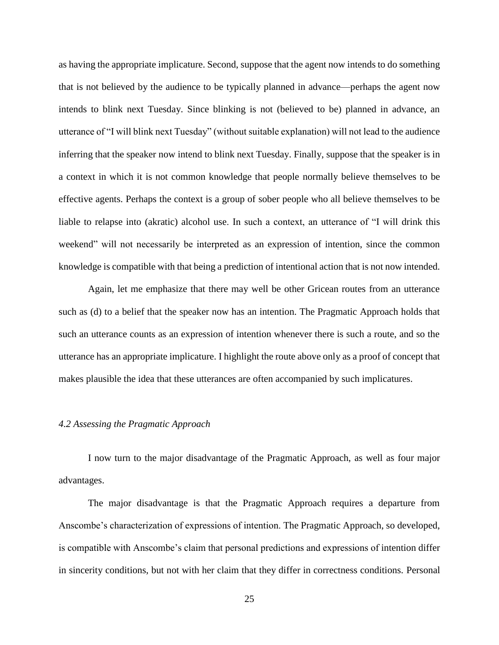as having the appropriate implicature. Second, suppose that the agent now intends to do something that is not believed by the audience to be typically planned in advance—perhaps the agent now intends to blink next Tuesday. Since blinking is not (believed to be) planned in advance, an utterance of "I will blink next Tuesday" (without suitable explanation) will not lead to the audience inferring that the speaker now intend to blink next Tuesday. Finally, suppose that the speaker is in a context in which it is not common knowledge that people normally believe themselves to be effective agents. Perhaps the context is a group of sober people who all believe themselves to be liable to relapse into (akratic) alcohol use. In such a context, an utterance of "I will drink this weekend" will not necessarily be interpreted as an expression of intention, since the common knowledge is compatible with that being a prediction of intentional action that is not now intended.

Again, let me emphasize that there may well be other Gricean routes from an utterance such as (d) to a belief that the speaker now has an intention. The Pragmatic Approach holds that such an utterance counts as an expression of intention whenever there is such a route, and so the utterance has an appropriate implicature. I highlight the route above only as a proof of concept that makes plausible the idea that these utterances are often accompanied by such implicatures.

# *4.2 Assessing the Pragmatic Approach*

I now turn to the major disadvantage of the Pragmatic Approach, as well as four major advantages.

The major disadvantage is that the Pragmatic Approach requires a departure from Anscombe's characterization of expressions of intention. The Pragmatic Approach, so developed, is compatible with Anscombe's claim that personal predictions and expressions of intention differ in sincerity conditions, but not with her claim that they differ in correctness conditions. Personal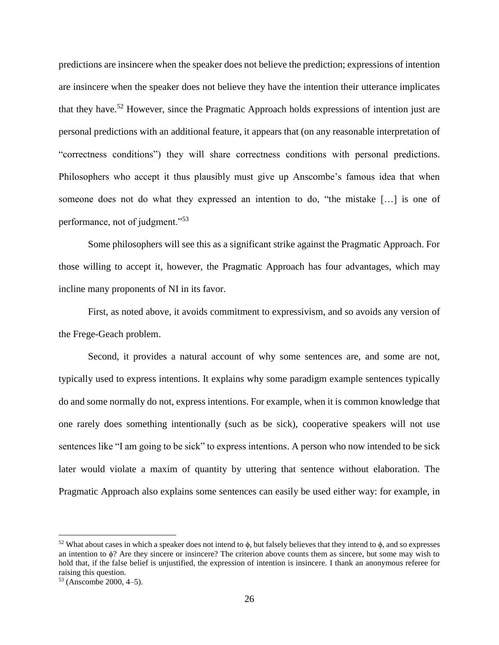predictions are insincere when the speaker does not believe the prediction; expressions of intention are insincere when the speaker does not believe they have the intention their utterance implicates that they have.<sup>52</sup> However, since the Pragmatic Approach holds expressions of intention just are personal predictions with an additional feature, it appears that (on any reasonable interpretation of "correctness conditions") they will share correctness conditions with personal predictions. Philosophers who accept it thus plausibly must give up Anscombe's famous idea that when someone does not do what they expressed an intention to do, "the mistake […] is one of performance, not of judgment."<sup>53</sup>

Some philosophers will see this as a significant strike against the Pragmatic Approach. For those willing to accept it, however, the Pragmatic Approach has four advantages, which may incline many proponents of NI in its favor.

First, as noted above, it avoids commitment to expressivism, and so avoids any version of the Frege-Geach problem.

Second, it provides a natural account of why some sentences are, and some are not, typically used to express intentions. It explains why some paradigm example sentences typically do and some normally do not, express intentions. For example, when it is common knowledge that one rarely does something intentionally (such as be sick), cooperative speakers will not use sentences like "I am going to be sick" to express intentions. A person who now intended to be sick later would violate a maxim of quantity by uttering that sentence without elaboration. The Pragmatic Approach also explains some sentences can easily be used either way: for example, in

<sup>&</sup>lt;sup>52</sup> What about cases in which a speaker does not intend to  $φ$ , but falsely believes that they intend to  $φ$ , and so expresses an intention to ϕ? Are they sincere or insincere? The criterion above counts them as sincere, but some may wish to hold that, if the false belief is unjustified, the expression of intention is insincere. I thank an anonymous referee for raising this question.

<sup>53</sup> (Anscombe 2000, 4–5).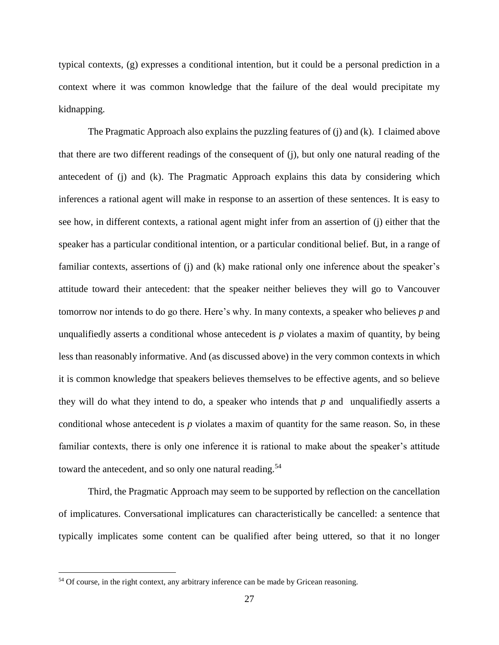typical contexts, (g) expresses a conditional intention, but it could be a personal prediction in a context where it was common knowledge that the failure of the deal would precipitate my kidnapping.

The Pragmatic Approach also explains the puzzling features of (j) and (k). I claimed above that there are two different readings of the consequent of (j), but only one natural reading of the antecedent of (j) and (k). The Pragmatic Approach explains this data by considering which inferences a rational agent will make in response to an assertion of these sentences. It is easy to see how, in different contexts, a rational agent might infer from an assertion of (j) either that the speaker has a particular conditional intention, or a particular conditional belief. But, in a range of familiar contexts, assertions of (j) and (k) make rational only one inference about the speaker's attitude toward their antecedent: that the speaker neither believes they will go to Vancouver tomorrow nor intends to do go there. Here's why. In many contexts, a speaker who believes *p* and unqualifiedly asserts a conditional whose antecedent is *p* violates a maxim of quantity, by being less than reasonably informative. And (as discussed above) in the very common contexts in which it is common knowledge that speakers believes themselves to be effective agents, and so believe they will do what they intend to do, a speaker who intends that *p* and unqualifiedly asserts a conditional whose antecedent is *p* violates a maxim of quantity for the same reason. So, in these familiar contexts, there is only one inference it is rational to make about the speaker's attitude toward the antecedent, and so only one natural reading.<sup>54</sup>

Third, the Pragmatic Approach may seem to be supported by reflection on the cancellation of implicatures. Conversational implicatures can characteristically be cancelled: a sentence that typically implicates some content can be qualified after being uttered, so that it no longer

<sup>&</sup>lt;sup>54</sup> Of course, in the right context, any arbitrary inference can be made by Gricean reasoning.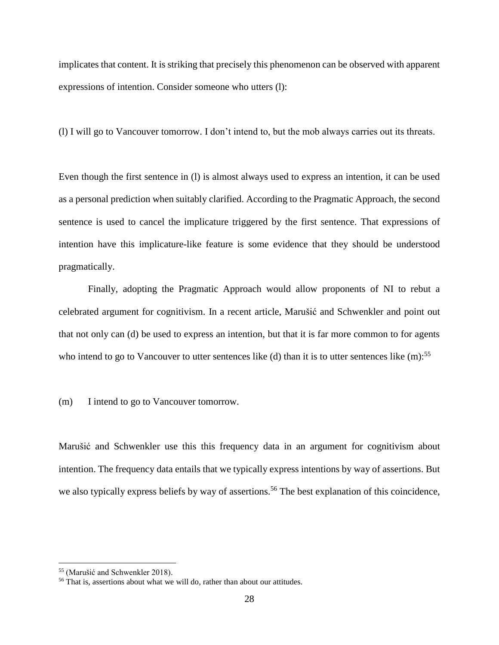implicates that content. It is striking that precisely this phenomenon can be observed with apparent expressions of intention. Consider someone who utters (l):

(l) I will go to Vancouver tomorrow. I don't intend to, but the mob always carries out its threats.

Even though the first sentence in (l) is almost always used to express an intention, it can be used as a personal prediction when suitably clarified. According to the Pragmatic Approach, the second sentence is used to cancel the implicature triggered by the first sentence. That expressions of intention have this implicature-like feature is some evidence that they should be understood pragmatically.

Finally, adopting the Pragmatic Approach would allow proponents of NI to rebut a celebrated argument for cognitivism. In a recent article, Marušić and Schwenkler and point out that not only can (d) be used to express an intention, but that it is far more common to for agents who intend to go to Vancouver to utter sentences like (d) than it is to utter sentences like  $(m)$ .<sup>55</sup>

(m) I intend to go to Vancouver tomorrow.

Marušić and Schwenkler use this this frequency data in an argument for cognitivism about intention. The frequency data entails that we typically express intentions by way of assertions. But we also typically express beliefs by way of assertions.<sup>56</sup> The best explanation of this coincidence,

<sup>55</sup> (Marušić and Schwenkler 2018).

<sup>&</sup>lt;sup>56</sup> That is, assertions about what we will do, rather than about our attitudes.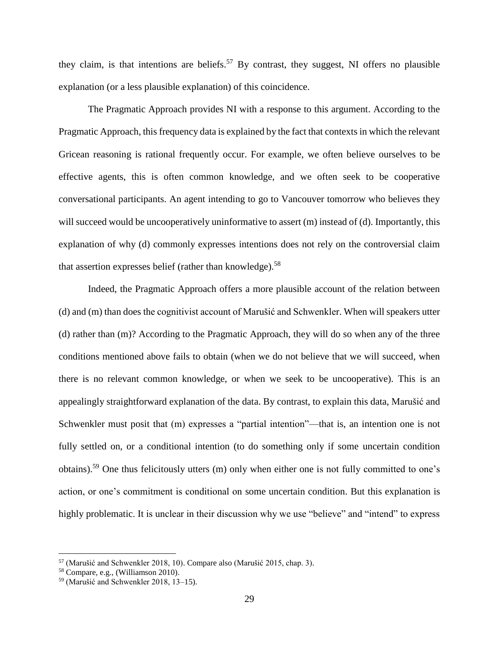they claim, is that intentions are beliefs.<sup>57</sup> By contrast, they suggest, NI offers no plausible explanation (or a less plausible explanation) of this coincidence.

The Pragmatic Approach provides NI with a response to this argument. According to the Pragmatic Approach, this frequency data is explained by the fact that contexts in which the relevant Gricean reasoning is rational frequently occur. For example, we often believe ourselves to be effective agents, this is often common knowledge, and we often seek to be cooperative conversational participants. An agent intending to go to Vancouver tomorrow who believes they will succeed would be uncooperatively uninformative to assert  $(m)$  instead of  $(d)$ . Importantly, this explanation of why (d) commonly expresses intentions does not rely on the controversial claim that assertion expresses belief (rather than knowledge).<sup>58</sup>

Indeed, the Pragmatic Approach offers a more plausible account of the relation between (d) and (m) than does the cognitivist account of Marušić and Schwenkler. When will speakers utter (d) rather than (m)? According to the Pragmatic Approach, they will do so when any of the three conditions mentioned above fails to obtain (when we do not believe that we will succeed, when there is no relevant common knowledge, or when we seek to be uncooperative). This is an appealingly straightforward explanation of the data. By contrast, to explain this data, Marušić and Schwenkler must posit that (m) expresses a "partial intention"—that is, an intention one is not fully settled on, or a conditional intention (to do something only if some uncertain condition obtains).<sup>59</sup> One thus felicitously utters (m) only when either one is not fully committed to one's action, or one's commitment is conditional on some uncertain condition. But this explanation is highly problematic. It is unclear in their discussion why we use "believe" and "intend" to express

<sup>57</sup> (Marušić and Schwenkler 2018, 10). Compare also (Marušić 2015, chap. 3).

<sup>58</sup> Compare, e.g., (Williamson 2010).

<sup>59</sup> (Marušić and Schwenkler 2018, 13–15).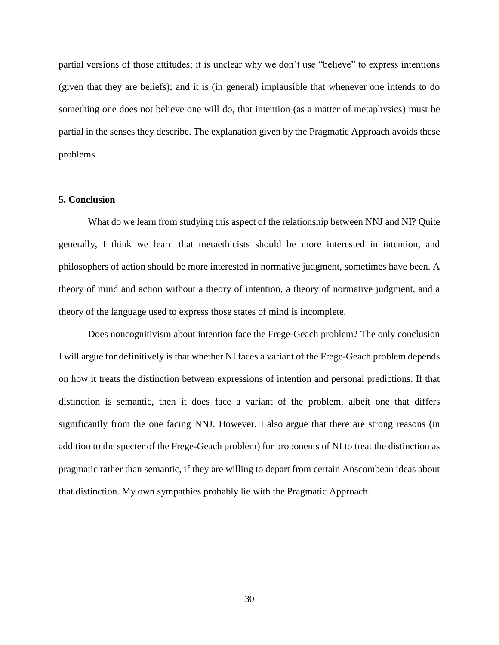partial versions of those attitudes; it is unclear why we don't use "believe" to express intentions (given that they are beliefs); and it is (in general) implausible that whenever one intends to do something one does not believe one will do, that intention (as a matter of metaphysics) must be partial in the senses they describe. The explanation given by the Pragmatic Approach avoids these problems.

## **5. Conclusion**

What do we learn from studying this aspect of the relationship between NNJ and NI? Quite generally, I think we learn that metaethicists should be more interested in intention, and philosophers of action should be more interested in normative judgment, sometimes have been. A theory of mind and action without a theory of intention, a theory of normative judgment, and a theory of the language used to express those states of mind is incomplete.

Does noncognitivism about intention face the Frege-Geach problem? The only conclusion I will argue for definitively is that whether NI faces a variant of the Frege-Geach problem depends on how it treats the distinction between expressions of intention and personal predictions. If that distinction is semantic, then it does face a variant of the problem, albeit one that differs significantly from the one facing NNJ. However, I also argue that there are strong reasons (in addition to the specter of the Frege-Geach problem) for proponents of NI to treat the distinction as pragmatic rather than semantic, if they are willing to depart from certain Anscombean ideas about that distinction. My own sympathies probably lie with the Pragmatic Approach.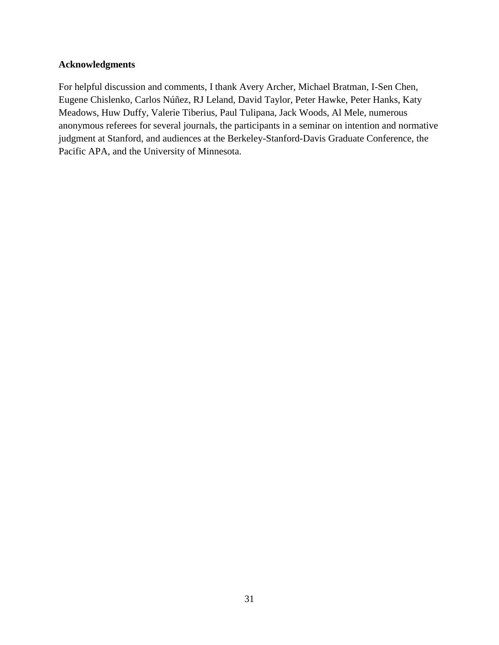# **Acknowledgments**

For helpful discussion and comments, I thank Avery Archer, Michael Bratman, I-Sen Chen, Eugene Chislenko, Carlos Núñez, RJ Leland, David Taylor, Peter Hawke, Peter Hanks, Katy Meadows, Huw Duffy, Valerie Tiberius, Paul Tulipana, Jack Woods, Al Mele, numerous anonymous referees for several journals, the participants in a seminar on intention and normative judgment at Stanford, and audiences at the Berkeley-Stanford-Davis Graduate Conference, the Pacific APA, and the University of Minnesota.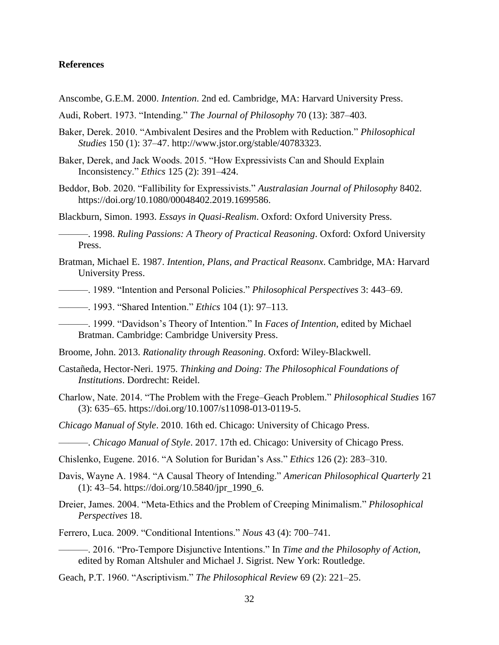# **References**

- Anscombe, G.E.M. 2000. *Intention*. 2nd ed. Cambridge, MA: Harvard University Press.
- Audi, Robert. 1973. "Intending." *The Journal of Philosophy* 70 (13): 387–403.
- Baker, Derek. 2010. "Ambivalent Desires and the Problem with Reduction." *Philosophical Studies* 150 (1): 37–47. http://www.jstor.org/stable/40783323.
- Baker, Derek, and Jack Woods. 2015. "How Expressivists Can and Should Explain Inconsistency." *Ethics* 125 (2): 391–424.
- Beddor, Bob. 2020. "Fallibility for Expressivists." *Australasian Journal of Philosophy* 8402. https://doi.org/10.1080/00048402.2019.1699586.

Blackburn, Simon. 1993. *Essays in Quasi-Realism*. Oxford: Oxford University Press.

———. 1998. *Ruling Passions: A Theory of Practical Reasoning*. Oxford: Oxford University Press.

- Bratman, Michael E. 1987. *Intention, Plans, and Practical Reasonx*. Cambridge, MA: Harvard University Press.
- ———. 1989. "Intention and Personal Policies." *Philosophical Perspectives* 3: 443–69.

———. 1993. "Shared Intention." *Ethics* 104 (1): 97–113.

- ———. 1999. "Davidson's Theory of Intention." In *Faces of Intention*, edited by Michael Bratman. Cambridge: Cambridge University Press.
- Broome, John. 2013. *Rationality through Reasoning*. Oxford: Wiley-Blackwell.
- Castañeda, Hector-Neri. 1975. *Thinking and Doing: The Philosophical Foundations of Institutions*. Dordrecht: Reidel.
- Charlow, Nate. 2014. "The Problem with the Frege–Geach Problem." *Philosophical Studies* 167 (3): 635–65. https://doi.org/10.1007/s11098-013-0119-5.

*Chicago Manual of Style*. 2010. 16th ed. Chicago: University of Chicago Press.

———. *Chicago Manual of Style*. 2017. 17th ed. Chicago: University of Chicago Press.

Chislenko, Eugene. 2016. "A Solution for Buridan's Ass." *Ethics* 126 (2): 283–310.

- Davis, Wayne A. 1984. "A Causal Theory of Intending." *American Philosophical Quarterly* 21 (1): 43–54. https://doi.org/10.5840/jpr\_1990\_6.
- Dreier, James. 2004. "Meta-Ethics and the Problem of Creeping Minimalism." *Philosophical Perspectives* 18.
- Ferrero, Luca. 2009. "Conditional Intentions." *Nous* 43 (4): 700–741.
	- ———. 2016. "Pro-Tempore Disjunctive Intentions." In *Time and the Philosophy of Action*, edited by Roman Altshuler and Michael J. Sigrist. New York: Routledge.
- Geach, P.T. 1960. "Ascriptivism." *The Philosophical Review* 69 (2): 221–25.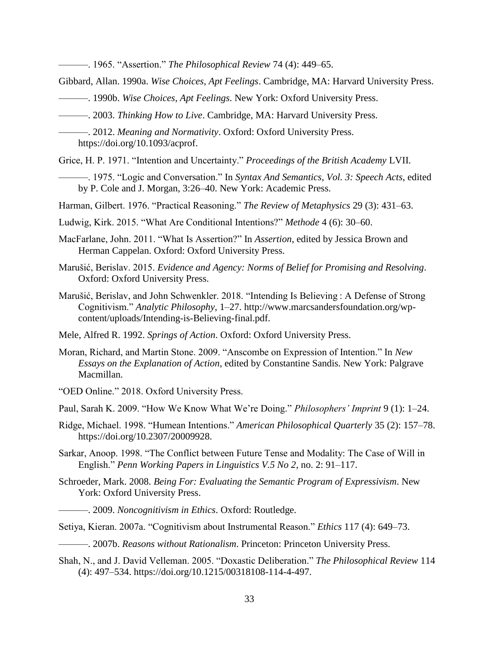- ———. 1965. "Assertion." *The Philosophical Review* 74 (4): 449–65.
- Gibbard, Allan. 1990a. *Wise Choices, Apt Feelings*. Cambridge, MA: Harvard University Press.
- ———. 1990b. *Wise Choices, Apt Feelings*. New York: Oxford University Press.
- ———. 2003. *Thinking How to Live*. Cambridge, MA: Harvard University Press.
	- ———. 2012. *Meaning and Normativity*. Oxford: Oxford University Press. https://doi.org/10.1093/acprof.
- Grice, H. P. 1971. "Intention and Uncertainty." *Proceedings of the British Academy* LVII.
- ———. 1975. "Logic and Conversation." In *Syntax And Semantics, Vol. 3: Speech Acts*, edited by P. Cole and J. Morgan, 3:26–40. New York: Academic Press.

Harman, Gilbert. 1976. "Practical Reasoning." *The Review of Metaphysics* 29 (3): 431–63.

- Ludwig, Kirk. 2015. "What Are Conditional Intentions?" *Methode* 4 (6): 30–60.
- MacFarlane, John. 2011. "What Is Assertion?" In *Assertion*, edited by Jessica Brown and Herman Cappelan. Oxford: Oxford University Press.
- Marušić, Berislav. 2015. *Evidence and Agency: Norms of Belief for Promising and Resolving*. Oxford: Oxford University Press.
- Marušić, Berislav, and John Schwenkler. 2018. "Intending Is Believing : A Defense of Strong Cognitivism." *Analytic Philosophy*, 1–27. http://www.marcsandersfoundation.org/wpcontent/uploads/Intending-is-Believing-final.pdf.
- Mele, Alfred R. 1992. *Springs of Action*. Oxford: Oxford University Press.
- Moran, Richard, and Martin Stone. 2009. "Anscombe on Expression of Intention." In *New Essays on the Explanation of Action*, edited by Constantine Sandis. New York: Palgrave Macmillan.
- "OED Online." 2018. Oxford University Press.
- Paul, Sarah K. 2009. "How We Know What We're Doing." *Philosophers' Imprint* 9 (1): 1–24.
- Ridge, Michael. 1998. "Humean Intentions." *American Philosophical Quarterly* 35 (2): 157–78. https://doi.org/10.2307/20009928.
- Sarkar, Anoop. 1998. "The Conflict between Future Tense and Modality: The Case of Will in English." *Penn Working Papers in Linguistics V.5 No 2*, no. 2: 91–117.
- Schroeder, Mark. 2008. *Being For: Evaluating the Semantic Program of Expressivism*. New York: Oxford University Press.
- ———. 2009. *Noncognitivism in Ethics*. Oxford: Routledge.
- Setiya, Kieran. 2007a. "Cognitivism about Instrumental Reason." *Ethics* 117 (4): 649–73.
- ———. 2007b. *Reasons without Rationalism*. Princeton: Princeton University Press.
- Shah, N., and J. David Velleman. 2005. "Doxastic Deliberation." *The Philosophical Review* 114 (4): 497–534. https://doi.org/10.1215/00318108-114-4-497.